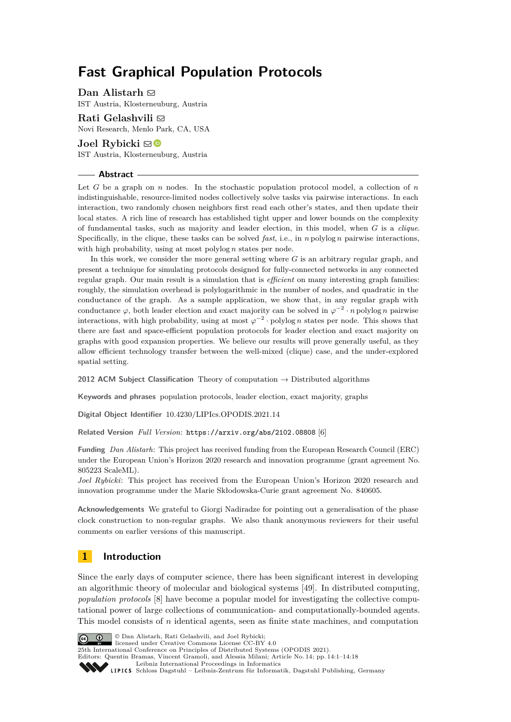# **Fast Graphical Population Protocols**

**Dan Alistarh**  $\boxdot$ IST Austria, Klosterneuburg, Austria

**Rati Gelashvili** ⊠ Novi Research, Menlo Park, CA, USA

**Joel Rybicki**  $\boxdot$  ■ IST Austria, Klosterneuburg, Austria

### **Abstract**

Let *G* be a graph on *n* nodes. In the stochastic population protocol model, a collection of *n* indistinguishable, resource-limited nodes collectively solve tasks via pairwise interactions. In each interaction, two randomly chosen neighbors first read each other's states, and then update their local states. A rich line of research has established tight upper and lower bounds on the complexity of fundamental tasks, such as majority and leader election, in this model, when *G* is a *clique*. Specifically, in the clique, these tasks can be solved *fast*, i.e., in *n* polylog *n* pairwise interactions, with high probability, using at most polylog *n* states per node.

In this work, we consider the more general setting where *G* is an arbitrary regular graph, and present a technique for simulating protocols designed for fully-connected networks in any connected regular graph. Our main result is a simulation that is *efficient* on many interesting graph families: roughly, the simulation overhead is polylogarithmic in the number of nodes, and quadratic in the conductance of the graph. As a sample application, we show that, in any regular graph with conductance  $\varphi$ , both leader election and exact majority can be solved in  $\varphi^{-2} \cdot n$  polylog *n* pairwise interactions, with high probability, using at most  $\varphi^{-2} \cdot \text{polylog } n$  states per node. This shows that there are fast and space-efficient population protocols for leader election and exact majority on graphs with good expansion properties. We believe our results will prove generally useful, as they allow efficient technology transfer between the well-mixed (clique) case, and the under-explored spatial setting.

**2012 ACM Subject Classification** Theory of computation → Distributed algorithms

**Keywords and phrases** population protocols, leader election, exact majority, graphs

**Digital Object Identifier** [10.4230/LIPIcs.OPODIS.2021.14](https://doi.org/10.4230/LIPIcs.OPODIS.2021.14)

**Related Version** *Full Version*: <https://arxiv.org/abs/2102.08808> [\[6\]](#page-14-0)

**Funding** *Dan Alistarh*: This project has received funding from the European Research Council (ERC) under the European Union's Horizon 2020 research and innovation programme (grant agreement No. 805223 ScaleML).

*Joel Rybicki*: This project has received from the European Union's Horizon 2020 research and innovation programme under the Marie Skłodowska-Curie grant agreement No. 840605.

**Acknowledgements** We grateful to Giorgi Nadiradze for pointing out a generalisation of the phase clock construction to non-regular graphs. We also thank anonymous reviewers for their useful comments on earlier versions of this manuscript.

# **1 Introduction**

Since the early days of computer science, there has been significant interest in developing an algorithmic theory of molecular and biological systems [\[49\]](#page-17-0). In distributed computing, *population protocols* [\[8\]](#page-14-1) have become a popular model for investigating the collective computational power of large collections of communication- and computationally-bounded agents. This model consists of *n* identical agents, seen as finite state machines, and computation



© Dan Alistarh, Rati Gelashvili, and Joel Rybicki; licensed under Creative Commons License CC-BY 4.0

25th International Conference on Principles of Distributed Systems (OPODIS 2021).

Editors: Quentin Bramas, Vincent Gramoli, and Alessia Milani; Article No. 14; pp. 14:1–14:18

[Leibniz International Proceedings in Informatics](https://www.dagstuhl.de/lipics/)

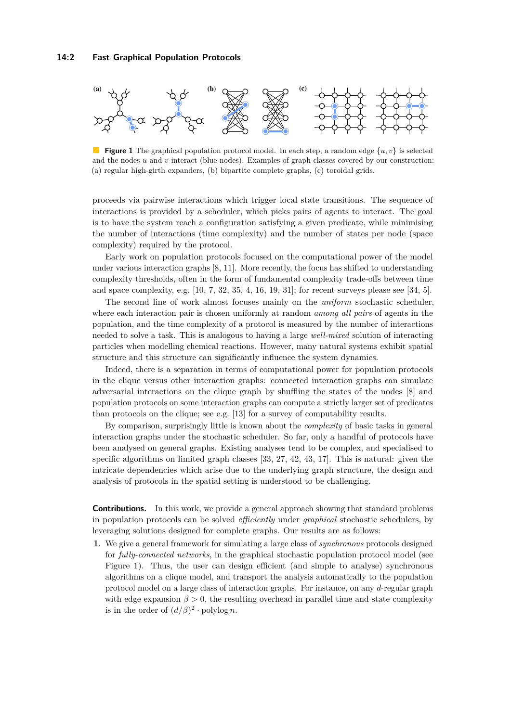<span id="page-1-0"></span>

**Figure 1** The graphical population protocol model. In each step, a random edge  $\{u, v\}$  is selected and the nodes *u* and *v* interact (blue nodes). Examples of graph classes covered by our construction: (a) regular high-girth expanders, (b) bipartite complete graphs, (c) toroidal grids.

proceeds via pairwise interactions which trigger local state transitions. The sequence of interactions is provided by a scheduler, which picks pairs of agents to interact. The goal is to have the system reach a configuration satisfying a given predicate, while minimising the number of interactions (time complexity) and the number of states per node (space complexity) required by the protocol.

Early work on population protocols focused on the computational power of the model under various interaction graphs [\[8,](#page-14-1) [11\]](#page-15-0). More recently, the focus has shifted to understanding complexity thresholds, often in the form of fundamental complexity trade-offs between time and space complexity, e.g.  $[10, 7, 32, 35, 4, 16, 19, 31]$  $[10, 7, 32, 35, 4, 16, 19, 31]$  $[10, 7, 32, 35, 4, 16, 19, 31]$  $[10, 7, 32, 35, 4, 16, 19, 31]$  $[10, 7, 32, 35, 4, 16, 19, 31]$  $[10, 7, 32, 35, 4, 16, 19, 31]$  $[10, 7, 32, 35, 4, 16, 19, 31]$  $[10, 7, 32, 35, 4, 16, 19, 31]$ ; for recent surveys please see  $[34, 5]$  $[34, 5]$ .

The second line of work almost focuses mainly on the *uniform* stochastic scheduler, where each interaction pair is chosen uniformly at random *among all pairs* of agents in the population, and the time complexity of a protocol is measured by the number of interactions needed to solve a task. This is analogous to having a large *well-mixed* solution of interacting particles when modelling chemical reactions. However, many natural systems exhibit spatial structure and this structure can significantly influence the system dynamics.

Indeed, there is a separation in terms of computational power for population protocols in the clique versus other interaction graphs: connected interaction graphs can simulate adversarial interactions on the clique graph by shuffling the states of the nodes [\[8\]](#page-14-1) and population protocols on some interaction graphs can compute a strictly larger set of predicates than protocols on the clique; see e.g. [\[13\]](#page-15-3) for a survey of computability results.

By comparison, surprisingly little is known about the *complexity* of basic tasks in general interaction graphs under the stochastic scheduler. So far, only a handful of protocols have been analysed on general graphs. Existing analyses tend to be complex, and specialised to specific algorithms on limited graph classes [\[33,](#page-16-4) [27,](#page-15-4) [42,](#page-16-5) [43,](#page-16-6) [17\]](#page-15-5). This is natural: given the intricate dependencies which arise due to the underlying graph structure, the design and analysis of protocols in the spatial setting is understood to be challenging.

**Contributions.** In this work, we provide a general approach showing that standard problems in population protocols can be solved *efficiently* under *graphical* stochastic schedulers, by leveraging solutions designed for complete graphs. Our results are as follows:

**1.** We give a general framework for simulating a large class of *synchronous* protocols designed for *fully-connected networks*, in the graphical stochastic population protocol model (see [Figure 1\)](#page-1-0). Thus, the user can design efficient (and simple to analyse) synchronous algorithms on a clique model, and transport the analysis automatically to the population protocol model on a large class of interaction graphs. For instance, on any *d*-regular graph with edge expansion  $\beta > 0$ , the resulting overhead in parallel time and state complexity is in the order of  $(d/\beta)^2 \cdot \text{polylog } n$ .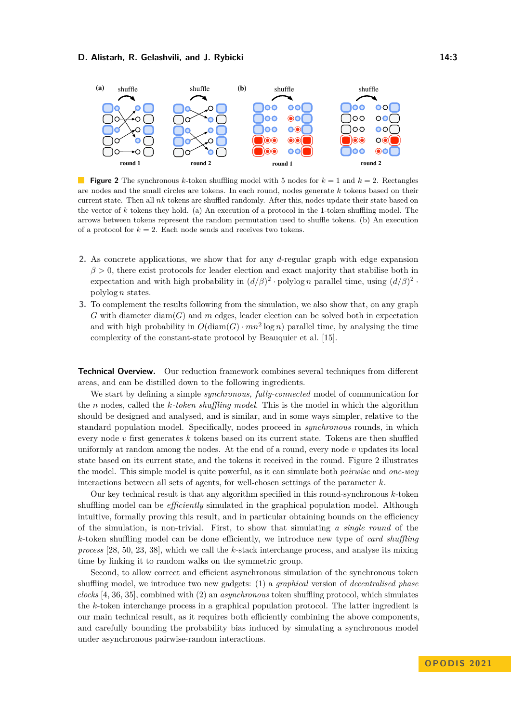#### **D. Alistarh, R. Gelashvili, and J. Rybicki 14:3** 14:3

<span id="page-2-0"></span>

**Figure 2** The synchronous *k*-token shuffling model with 5 nodes for  $k = 1$  and  $k = 2$ . Rectangles are nodes and the small circles are tokens. In each round, nodes generate *k* tokens based on their current state. Then all *nk* tokens are shuffled randomly. After this, nodes update their state based on the vector of *k* tokens they hold. (a) An execution of a protocol in the 1-token shuffling model. The arrows between tokens represent the random permutation used to shuffle tokens. (b) An execution of a protocol for  $k = 2$ . Each node sends and receives two tokens.

- **2.** As concrete applications, we show that for any *d*-regular graph with edge expansion *β >* 0, there exist protocols for leader election and exact majority that stabilise both in expectation and with high probability in  $(d/\beta)^2 \cdot \text{polylog } n$  parallel time, using  $(d/\beta)^2 \cdot$ polylog *n* states.
- **3.** To complement the results following from the simulation, we also show that, on any graph *G* with diameter diam(*G*) and *m* edges, leader election can be solved both in expectation and with high probability in  $O(\text{diam}(G) \cdot mn^2 \log n)$  parallel time, by analysing the time complexity of the constant-state protocol by Beauquier et al. [\[15\]](#page-15-6).

**Technical Overview.** Our reduction framework combines several techniques from different areas, and can be distilled down to the following ingredients.

We start by defining a simple *synchronous, fully-connected* model of communication for the *n* nodes, called the *k-token shuffling model*. This is the model in which the algorithm should be designed and analysed, and is similar, and in some ways simpler, relative to the standard population model. Specifically, nodes proceed in *synchronous* rounds, in which every node *v* first generates *k* tokens based on its current state. Tokens are then shuffled uniformly at random among the nodes. At the end of a round, every node *v* updates its local state based on its current state, and the tokens it received in the round. [Figure 2](#page-2-0) illustrates the model. This simple model is quite powerful, as it can simulate both *pairwise* and *one-way* interactions between all sets of agents, for well-chosen settings of the parameter *k*.

Our key technical result is that any algorithm specified in this round-synchronous *k*-token shuffling model can be *efficiently* simulated in the graphical population model. Although intuitive, formally proving this result, and in particular obtaining bounds on the efficiency of the simulation, is non-trivial. First, to show that simulating *a single round* of the *k*-token shuffling model can be done efficiently, we introduce new type of *card shuffling process* [\[28,](#page-15-7) [50,](#page-17-1) [23,](#page-15-8) [38\]](#page-16-7), which we call the *k*-stack interchange process, and analyse its mixing time by linking it to random walks on the symmetric group.

Second, to allow correct and efficient asynchronous simulation of the synchronous token shuffling model, we introduce two new gadgets: (1) a *graphical* version of *decentralised phase clocks* [\[4,](#page-14-4) [36,](#page-16-8) [35\]](#page-16-1), combined with (2) an *asynchronous* token shuffling protocol, which simulates the *k*-token interchange process in a graphical population protocol. The latter ingredient is our main technical result, as it requires both efficiently combining the above components, and carefully bounding the probability bias induced by simulating a synchronous model under asynchronous pairwise-random interactions.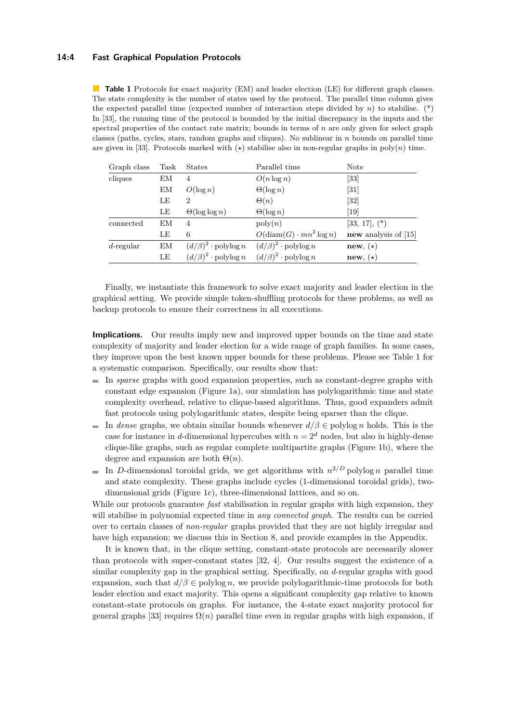### **14:4 Fast Graphical Population Protocols**

<span id="page-3-0"></span>**Table 1** Protocols for exact majority (EM) and leader election (LE) for different graph classes. The state complexity is the number of states used by the protocol. The parallel time column gives the expected parallel time (expected number of interaction steps divided by  $n$ ) to stabilise. (\*) In [\[33\]](#page-16-4), the running time of the protocol is bounded by the initial discrepancy in the inputs and the spectral properties of the contact rate matrix; bounds in terms of *n* are only given for select graph classes (paths, cycles, stars, random graphs and cliques). No sublinear in *n* bounds on parallel time are given in [\[33\]](#page-16-4). Protocols marked with  $(\star)$  stabilise also in non-regular graphs in poly $(n)$  time.

| Graph class  | Task | <b>States</b>                         | Parallel time                         | <b>Note</b>            |
|--------------|------|---------------------------------------|---------------------------------------|------------------------|
| cliques      | EМ   | 4                                     | $O(n \log n)$                         | $\left[33\right]$      |
|              | ΕM   | $O(\log n)$                           | $\Theta(\log n)$                      | $\left[31\right]$      |
|              | LE   | 2                                     | $\Theta(n)$                           | $[32]$                 |
|              | LE   | $\Theta(\log \log n)$                 | $\Theta(\log n)$                      | $\left[19\right]$      |
| connected    | ΕM   | 4                                     | $\mathrm{poly}(n)$                    | $[33, 17],$ $(*)$      |
|              | LE   | 6                                     | $O(\text{diam}(G) \cdot mn^2 \log n)$ | new analysis of $[15]$ |
| $d$ -regular | ΕM   | $(d/\beta)^2 \cdot \text{polylog } n$ | $(d/\beta)^2 \cdot \text{polylog } n$ | new, $(\star)$         |
|              | LE   | $(d/\beta)^2 \cdot \text{polylog } n$ | $(d/\beta)^2 \cdot \text{polylog } n$ | new, $(\star)$         |

Finally, we instantiate this framework to solve exact majority and leader election in the graphical setting. We provide simple token-shuffling protocols for these problems, as well as backup protocols to ensure their correctness in all executions.

**Implications.** Our results imply new and improved upper bounds on the time and state complexity of majority and leader election for a wide range of graph families. In some cases, they improve upon the best known upper bounds for these problems. Please see Table [1](#page-3-0) for a systematic comparison. Specifically, our results show that:

- In *sparse* graphs with good expansion properties, such as constant-degree graphs with constant edge expansion [\(Figure 1a](#page-1-0)), our simulation has polylogarithmic time and state complexity overhead, relative to clique-based algorithms. Thus, good expanders admit fast protocols using polylogarithmic states, despite being sparser than the clique.
- In *dense* graphs, we obtain similar bounds whenever  $d/\beta \in \text{polylog } n$  holds. This is the case for instance in *d*-dimensional hypercubes with  $n = 2<sup>d</sup>$  nodes, but also in highly-dense clique-like graphs, such as regular complete multipartite graphs [\(Figure 1b](#page-1-0)), where the degree and expansion are both  $\Theta(n)$ .
- In *D*-dimensional toroidal grids, we get algorithms with  $n^{2/D}$  polylog *n* parallel time and state complexity. These graphs include cycles (1-dimensional toroidal grids), twodimensional grids [\(Figure 1c](#page-1-0)), three-dimensional lattices, and so on.

While our protocols guarantee *fast* stabilisation in regular graphs with high expansion, they will stabilise in polynomial expected time in *any connected graph*. The results can be carried over to certain classes of *non-regular* graphs provided that they are not highly irregular and have high expansion; we discuss this in Section [8,](#page-14-6) and provide examples in the Appendix.

It is known that, in the clique setting, constant-state protocols are necessarily slower than protocols with super-constant states [\[32,](#page-16-0) [4\]](#page-14-4). Our results suggest the existence of a similar complexity gap in the graphical setting. Specifically, on *d*-regular graphs with good expansion, such that  $d/\beta \in \text{polylog } n$ , we provide polylogarithmic-time protocols for both leader election and exact majority. This opens a significant complexity gap relative to known constant-state protocols on graphs. For instance, the 4-state exact majority protocol for general graphs [\[33\]](#page-16-4) requires  $\Omega(n)$  parallel time even in regular graphs with high expansion, if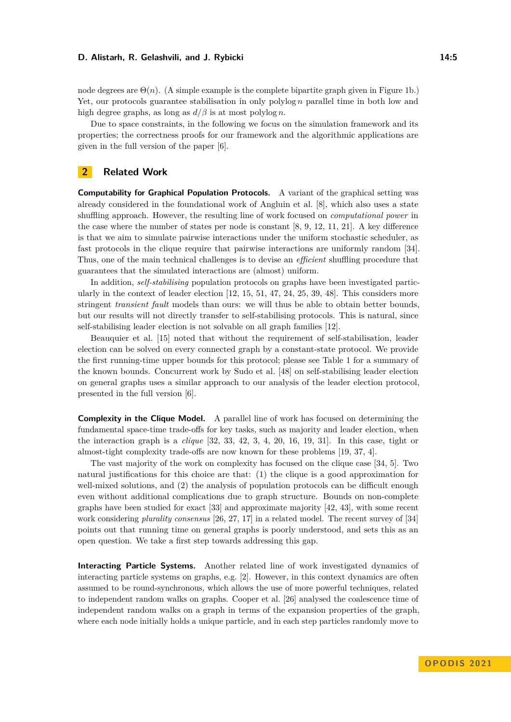#### **D. Alistarh, R. Gelashvili, and J. Rybicki 14:5** 14:5

node degrees are  $\Theta(n)$ . (A simple example is the complete bipartite graph given in [Figure 1b](#page-1-0).) Yet, our protocols guarantee stabilisation in only polylog *n* parallel time in both low and high degree graphs, as long as *d/β* is at most polylog *n*.

Due to space constraints, in the following we focus on the simulation framework and its properties; the correctness proofs for our framework and the algorithmic applications are given in the full version of the paper [\[6\]](#page-14-0).

# **2 Related Work**

**Computability for Graphical Population Protocols.** A variant of the graphical setting was already considered in the foundational work of Angluin et al. [\[8\]](#page-14-1), which also uses a state shuffling approach. However, the resulting line of work focused on *computational power* in the case where the number of states per node is constant [\[8,](#page-14-1) [9,](#page-14-7) [12,](#page-15-9) [11,](#page-15-0) [21\]](#page-15-10). A key difference is that we aim to simulate pairwise interactions under the uniform stochastic scheduler, as fast protocols in the clique require that pairwise interactions are uniformly random [\[34\]](#page-16-3). Thus, one of the main technical challenges is to devise an *efficient* shuffling procedure that guarantees that the simulated interactions are (almost) uniform.

In addition, *self-stabilising* population protocols on graphs have been investigated particularly in the context of leader election [\[12,](#page-15-9) [15,](#page-15-6) [51,](#page-17-2) [47,](#page-16-9) [24,](#page-15-11) [25,](#page-15-12) [39,](#page-16-10) [48\]](#page-17-3). This considers more stringent *transient fault* models than ours: we will thus be able to obtain better bounds, but our results will not directly transfer to self-stabilising protocols. This is natural, since self-stabilising leader election is not solvable on all graph families [\[12\]](#page-15-9).

Beauquier et al. [\[15\]](#page-15-6) noted that without the requirement of self-stabilisation, leader election can be solved on every connected graph by a constant-state protocol. We provide the first running-time upper bounds for this protocol; please see Table [1](#page-3-0) for a summary of the known bounds. Concurrent work by Sudo et al. [\[48\]](#page-17-3) on self-stabilising leader election on general graphs uses a similar approach to our analysis of the leader election protocol, presented in the full version [\[6\]](#page-14-0).

**Complexity in the Clique Model.** A parallel line of work has focused on determining the fundamental space-time trade-offs for key tasks, such as majority and leader election, when the interaction graph is a *clique* [\[32,](#page-16-0) [33,](#page-16-4) [42,](#page-16-5) [3,](#page-14-8) [4,](#page-14-4) [20,](#page-15-13) [16,](#page-15-1) [19,](#page-15-2) [31\]](#page-16-2). In this case, tight or almost-tight complexity trade-offs are now known for these problems [\[19,](#page-15-2) [37,](#page-16-11) [4\]](#page-14-4).

The vast majority of the work on complexity has focused on the clique case [\[34,](#page-16-3) [5\]](#page-14-5). Two natural justifications for this choice are that: (1) the clique is a good approximation for well-mixed solutions, and (2) the analysis of population protocols can be difficult enough even without additional complications due to graph structure. Bounds on non-complete graphs have been studied for exact [\[33\]](#page-16-4) and approximate majority [\[42,](#page-16-5) [43\]](#page-16-6), with some recent work considering *plurality consensus* [\[26,](#page-15-14) [27,](#page-15-4) [17\]](#page-15-5) in a related model. The recent survey of [\[34\]](#page-16-3) points out that running time on general graphs is poorly understood, and sets this as an open question. We take a first step towards addressing this gap.

**Interacting Particle Systems.** Another related line of work investigated dynamics of interacting particle systems on graphs, e.g. [\[2\]](#page-14-9). However, in this context dynamics are often assumed to be round-synchronous, which allows the use of more powerful techniques, related to independent random walks on graphs. Cooper et al. [\[26\]](#page-15-14) analysed the coalescence time of independent random walks on a graph in terms of the expansion properties of the graph, where each node initially holds a unique particle, and in each step particles randomly move to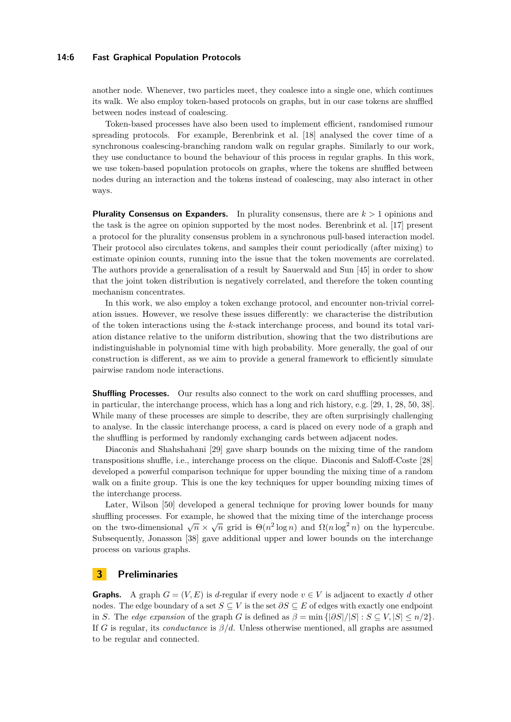### **14:6 Fast Graphical Population Protocols**

another node. Whenever, two particles meet, they coalesce into a single one, which continues its walk. We also employ token-based protocols on graphs, but in our case tokens are shuffled between nodes instead of coalescing.

Token-based processes have also been used to implement efficient, randomised rumour spreading protocols. For example, Berenbrink et al. [\[18\]](#page-15-15) analysed the cover time of a synchronous coalescing-branching random walk on regular graphs. Similarly to our work, they use conductance to bound the behaviour of this process in regular graphs. In this work, we use token-based population protocols on graphs, where the tokens are shuffled between nodes during an interaction and the tokens instead of coalescing, may also interact in other ways.

**Plurality Consensus on Expanders.** In plurality consensus, there are *k >* 1 opinions and the task is the agree on opinion supported by the most nodes. Berenbrink et al. [\[17\]](#page-15-5) present a protocol for the plurality consensus problem in a synchronous pull-based interaction model. Their protocol also circulates tokens, and samples their count periodically (after mixing) to estimate opinion counts, running into the issue that the token movements are correlated. The authors provide a generalisation of a result by Sauerwald and Sun [\[45\]](#page-16-12) in order to show that the joint token distribution is negatively correlated, and therefore the token counting mechanism concentrates.

In this work, we also employ a token exchange protocol, and encounter non-trivial correlation issues. However, we resolve these issues differently: we characterise the distribution of the token interactions using the *k*-stack interchange process, and bound its total variation distance relative to the uniform distribution, showing that the two distributions are indistinguishable in polynomial time with high probability. More generally, the goal of our construction is different, as we aim to provide a general framework to efficiently simulate pairwise random node interactions.

**Shuffling Processes.** Our results also connect to the work on card shuffling processes, and in particular, the interchange process, which has a long and rich history, e.g. [\[29,](#page-16-13) [1,](#page-14-10) [28,](#page-15-7) [50,](#page-17-1) [38\]](#page-16-7). While many of these processes are simple to describe, they are often surprisingly challenging to analyse. In the classic interchange process, a card is placed on every node of a graph and the shuffling is performed by randomly exchanging cards between adjacent nodes.

Diaconis and Shahshahani [\[29\]](#page-16-13) gave sharp bounds on the mixing time of the random transpositions shuffle, i.e., interchange process on the clique. Diaconis and Saloff-Coste [\[28\]](#page-15-7) developed a powerful comparison technique for upper bounding the mixing time of a random walk on a finite group. This is one the key techniques for upper bounding mixing times of the interchange process.

Later, Wilson [\[50\]](#page-17-1) developed a general technique for proving lower bounds for many shuffling processes. For example, he showed that the mixing time of the interchange process on the two-dimensional  $\sqrt{n} \times \sqrt{n}$  grid is  $\Theta(n^2 \log n)$  and  $\Omega(n \log^2 n)$  on the hypercube. Subsequently, Jonasson [\[38\]](#page-16-7) gave additional upper and lower bounds on the interchange process on various graphs.

# **3 Preliminaries**

**Graphs.** A graph  $G = (V, E)$  is *d*-regular if every node  $v \in V$  is adjacent to exactly *d* other nodes. The edge boundary of a set  $S \subseteq V$  is the set  $\partial S \subseteq E$  of edges with exactly one endpoint in *S*. The *edge expansion* of the graph *G* is defined as  $\beta = \min \{|\partial S|/|S| : S \subseteq V, |S| \le n/2\}$ . If *G* is regular, its *conductance* is *β/d*. Unless otherwise mentioned, all graphs are assumed to be regular and connected.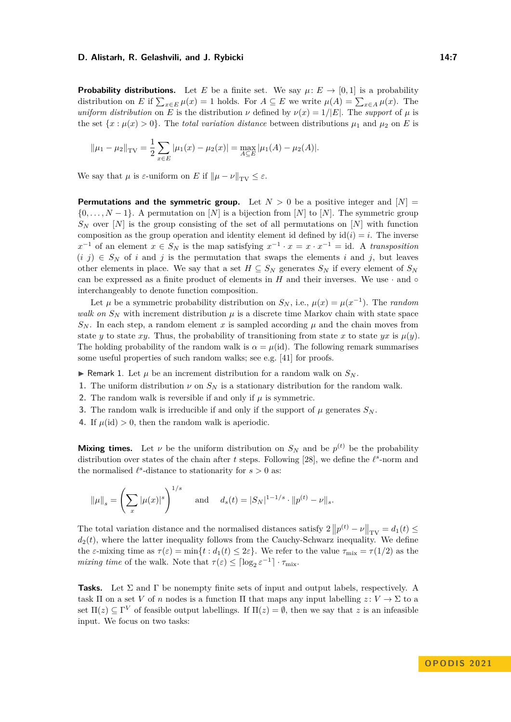#### **D. Alistarh, R. Gelashvili, and J. Rybicki 14:7** 14:7

**Probability distributions.** Let *E* be a finite set. We say  $\mu: E \to [0,1]$  is a probability distribution on *E* if  $\sum_{x \in E} \mu(x) = 1$  holds. For  $A \subseteq E$  we write  $\mu(A) = \sum_{x \in A} \mu(x)$ . The *uniform distribution* on *E* is the distribution *ν* defined by  $\nu(x) = 1/|E|$ . The *support* of  $\mu$  is the set  $\{x : \mu(x) > 0\}$ . The *total variation distance* between distributions  $\mu_1$  and  $\mu_2$  on *E* is

$$
\|\mu_1 - \mu_2\|_{\text{TV}} = \frac{1}{2} \sum_{x \in E} |\mu_1(x) - \mu_2(x)| = \max_{A \subseteq E} |\mu_1(A) - \mu_2(A)|.
$$

We say that  $\mu$  is  $\varepsilon$ -uniform on  $E$  if  $\|\mu - \nu\|_{TV} \leq \varepsilon$ .

**Permutations and the symmetric group.** Let  $N > 0$  be a positive integer and  $[N] =$ {0*, . . . , N* − 1}. A permutation on [*N*] is a bijection from [*N*] to [*N*]. The symmetric group  $S_N$  over [*N*] is the group consisting of the set of all permutations on [*N*] with function composition as the group operation and identity element id defined by  $id(i) = i$ . The inverse  $x^{-1}$  of an element  $x \in S_N$  is the map satisfying  $x^{-1} \cdot x = x \cdot x^{-1} = id$ . A *transposition*  $(i, j) \in S_N$  of *i* and *j* is the permutation that swaps the elements *i* and *j*, but leaves other elements in place. We say that a set  $H \subseteq S_N$  generates  $S_N$  if every element of  $S_N$ can be expressed as a finite product of elements in  $H$  and their inverses. We use  $\cdot$  and  $\circ$ interchangeably to denote function composition.

Let  $\mu$  be a symmetric probability distribution on  $S_N$ , i.e.,  $\mu(x) = \mu(x^{-1})$ . The *random walk on*  $S_N$  with increment distribution  $\mu$  is a discrete time Markov chain with state space  $S_N$ . In each step, a random element *x* is sampled according  $\mu$  and the chain moves from state *y* to state *xy*. Thus, the probability of transitioning from state *x* to state *yx* is  $\mu(y)$ . The holding probability of the random walk is  $\alpha = \mu(\text{id})$ . The following remark summarises some useful properties of such random walks; see e.g. [\[41\]](#page-16-14) for proofs.

- $\triangleright$  Remark 1. Let  $\mu$  be an increment distribution for a random walk on  $S_N$ .
- **1.** The uniform distribution  $\nu$  on  $S_N$  is a stationary distribution for the random walk.
- **2.** The random walk is reversible if and only if  $\mu$  is symmetric.
- **3.** The random walk is irreducible if and only if the support of  $\mu$  generates  $S_N$ .
- **4.** If  $\mu(id) > 0$ , then the random walk is aperiodic.

**Mixing times.** Let  $\nu$  be the uniform distribution on  $S_N$  and be  $p^{(t)}$  be the probability distribution over states of the chain after  $t$  steps. Following [\[28\]](#page-15-7), we define the  $l^s$ -norm and the normalised  $\ell^s$ -distance to stationarity for  $s > 0$  as:

$$
\|\mu\|_s = \left(\sum_x |\mu(x)|^s\right)^{1/s}
$$
 and  $d_s(t) = |S_N|^{1-1/s} \cdot \|p^{(t)} - \nu\|_s$ .

The total variation distance and the normalised distances satisfy  $2 ||p^{(t)} - \nu||_{TV} = d_1(t) \le$  $d_2(t)$ , where the latter inequality follows from the Cauchy-Schwarz inequality. We define the  $\varepsilon$ -mixing time as  $\tau(\varepsilon) = \min\{t : d_1(t) \leq 2\varepsilon\}$ . We refer to the value  $\tau_{\text{mix}} = \tau(1/2)$  as the *mixing time* of the walk. Note that  $\tau(\varepsilon) \leq \lceil \log_2 \varepsilon^{-1} \rceil \cdot \tau_{\text{mix}}$ .

**Tasks.** Let  $\Sigma$  and  $\Gamma$  be nonempty finite sets of input and output labels, respectively. A task  $\Pi$  on a set *V* of *n* nodes is a function  $\Pi$  that maps any input labelling  $z: V \to \Sigma$  to a set  $\Pi(z) \subseteq \Gamma^V$  of feasible output labellings. If  $\Pi(z) = \emptyset$ , then we say that *z* is an infeasible input. We focus on two tasks: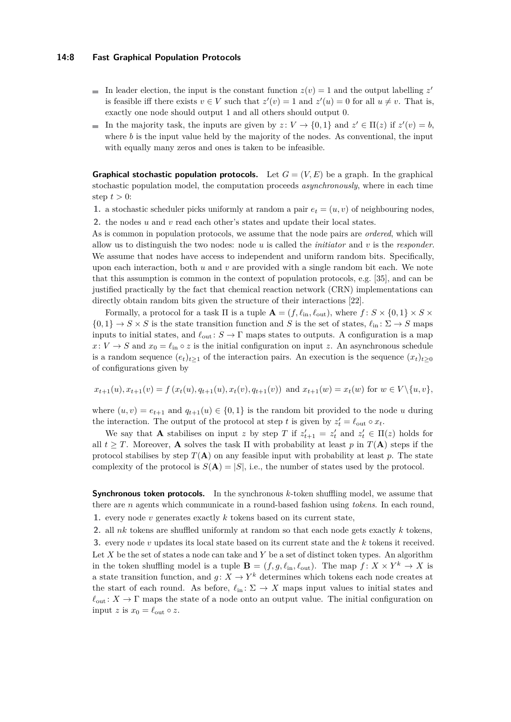### **14:8 Fast Graphical Population Protocols**

- In leader election, the input is the constant function  $z(v) = 1$  and the output labelling  $z'$ is feasible iff there exists  $v \in V$  such that  $z'(v) = 1$  and  $z'(u) = 0$  for all  $u \neq v$ . That is, exactly one node should output 1 and all others should output 0.
- In the majority task, the inputs are given by  $z: V \to \{0,1\}$  and  $z' \in \Pi(z)$  if  $z'(v) = b$ , where *b* is the input value held by the majority of the nodes. As conventional, the input with equally many zeros and ones is taken to be infeasible.

**Graphical stochastic population protocols.** Let  $G = (V, E)$  be a graph. In the graphical stochastic population model, the computation proceeds *asynchronously*, where in each time step  $t > 0$ :

**1.** a stochastic scheduler picks uniformly at random a pair  $e_t = (u, v)$  of neighbouring nodes,

**2.** the nodes *u* and *v* read each other's states and update their local states. As is common in population protocols, we assume that the node pairs are *ordered*, which will allow us to distinguish the two nodes: node *u* is called the *initiator* and *v* is the *responder*. We assume that nodes have access to independent and uniform random bits. Specifically, upon each interaction, both *u* and *v* are provided with a single random bit each. We note that this assumption is common in the context of population protocols, e.g. [\[35\]](#page-16-1), and can be justified practically by the fact that chemical reaction network (CRN) implementations can directly obtain random bits given the structure of their interactions [\[22\]](#page-15-16).

Formally, a protocol for a task  $\Pi$  is a tuple  $\mathbf{A} = (f, \ell_{\text{in}}, \ell_{\text{out}})$ , where  $f : S \times \{0, 1\} \times S \times$  $\{0,1\} \rightarrow S \times S$  is the state transition function and *S* is the set of states,  $\ell_{\rm in} \colon \Sigma \rightarrow S$  maps inputs to initial states, and  $\ell_{\text{out}}$ :  $S \to \Gamma$  maps states to outputs. A configuration is a map  $x: V \to S$  and  $x_0 = \ell_{\text{in}} \circ z$  is the initial configuration on input *z*. An asynchronous schedule is a random sequence  $(e_t)_{t\geq 1}$  of the interaction pairs. An execution is the sequence  $(x_t)_{t\geq 0}$ of configurations given by

$$
x_{t+1}(u), x_{t+1}(v) = f(x_t(u), q_{t+1}(u), x_t(v), q_{t+1}(v)) \text{ and } x_{t+1}(w) = x_t(w) \text{ for } w \in V \setminus \{u, v\},
$$

where  $(u, v) = e_{t+1}$  and  $q_{t+1}(u) \in \{0, 1\}$  is the random bit provided to the node *u* during the interaction. The output of the protocol at step *t* is given by  $z'_t = \ell_{\text{out}} \circ x_t$ .

We say that **A** stabilises on input *z* by step *T* if  $z'_{t+1} = z'_t$  and  $z'_t \in \Pi(z)$  holds for all  $t \geq T$ . Moreover, **A** solves the task  $\Pi$  with probability at least  $p$  in  $T(A)$  steps if the protocol stabilises by step  $T(A)$  on any feasible input with probability at least  $p$ . The state complexity of the protocol is  $S(A) = |S|$ , i.e., the number of states used by the protocol.

**Synchronous token protocols.** In the synchronous *k*-token shuffling model, we assume that there are *n* agents which communicate in a round-based fashion using *tokens*. In each round, **1.** every node *v* generates exactly *k* tokens based on its current state,

**2.** all *nk* tokens are shuffled uniformly at random so that each node gets exactly *k* tokens, **3.** every node *v* updates its local state based on its current state and the *k* tokens it received. Let *X* be the set of states a node can take and *Y* be a set of distinct token types. An algorithm in the token shuffling model is a tuple  $\mathbf{B} = (f, g, \ell_{\text{in}}, \ell_{\text{out}})$ . The map  $f: X \times Y^k \to X$  is a state transition function, and  $g: X \to Y^k$  determines which tokens each node creates at the start of each round. As before,  $\ell_{\text{in}} \colon \Sigma \to X$  maps input values to initial states and  $\ell_{\text{out}}: X \to \Gamma$  maps the state of a node onto an output value. The initial configuration on input *z* is  $x_0 = \ell_{\text{out}} \circ z$ .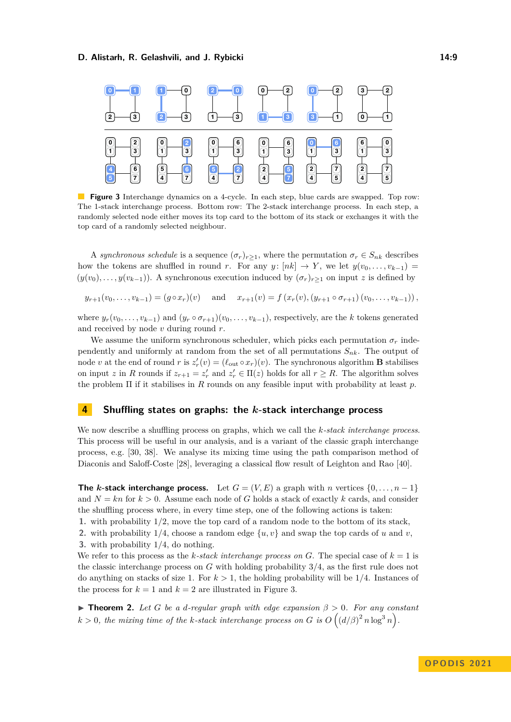### **D. Alistarh, R. Gelashvili, and J. Rybicki 14:9** 14:9

<span id="page-8-0"></span>

**Figure 3** Interchange dynamics on a 4-cycle. In each step, blue cards are swapped. Top row: The 1-stack interchange process. Bottom row: The 2-stack interchange process. In each step, a randomly selected node either moves its top card to the bottom of its stack or exchanges it with the top card of a randomly selected neighbour.

A *synchronous schedule* is a sequence  $(\sigma_r)_{r\geq 1}$ , where the permutation  $\sigma_r \in S_{nk}$  describes how the tokens are shuffled in round *r*. For any *y*:  $[nk] \rightarrow Y$ , we let  $y(v_0, \ldots, v_{k-1}) =$  $(y(v_0), \ldots, y(v_{k-1}))$ . A synchronous execution induced by  $(\sigma_r)_{r>1}$  on input *z* is defined by

$$
y_{r+1}(v_0,...,v_{k-1}) = (g \circ x_r)(v)
$$
 and  $x_{r+1}(v) = f(x_r(v), (y_{r+1} \circ \sigma_{r+1})(v_0,...,v_{k-1}))$ ,

where  $y_r(v_0, \ldots, v_{k-1})$  and  $(y_r \circ \sigma_{r+1})(v_0, \ldots, v_{k-1})$ , respectively, are the *k* tokens generated and received by node *v* during round *r*.

We assume the uniform synchronous scheduler, which picks each permutation  $\sigma_r$  independently and uniformly at random from the set of all permutations *Snk*. The output of node *v* at the end of round *r* is  $z'_r(v) = (\ell_{\text{out}} \circ x_r)(v)$ . The synchronous algorithm **B** stabilises on input *z* in *R* rounds if  $z_{r+1} = z'_r$  and  $z'_r \in \Pi(z)$  holds for all  $r \geq R$ . The algorithm solves the problem Π if it stabilises in *R* rounds on any feasible input with probability at least *p*.

# **Shuffling states on graphs: the** *k***-stack interchange process**

We now describe a shuffling process on graphs, which we call the *k-stack interchange process*. This process will be useful in our analysis, and is a variant of the classic graph interchange process, e.g. [\[30,](#page-16-15) [38\]](#page-16-7). We analyse its mixing time using the path comparison method of Diaconis and Saloff-Coste [\[28\]](#page-15-7), leveraging a classical flow result of Leighton and Rao [\[40\]](#page-16-16).

**The** *k***-stack interchange process.** Let  $G = (V, E)$  a graph with *n* vertices  $\{0, \ldots, n-1\}$ and  $N = kn$  for  $k > 0$ . Assume each node of G holds a stack of exactly k cards, and consider the shuffling process where, in every time step, one of the following actions is taken:

**1.** with probability 1*/*2, move the top card of a random node to the bottom of its stack,

**2.** with probability 1/4, choose a random edge  $\{u, v\}$  and swap the top cards of *u* and *v*,

**3.** with probability 1*/*4, do nothing.

We refer to this process as the *k*-stack interchange process on *G*. The special case of  $k = 1$  is the classic interchange process on *G* with holding probability 3*/*4, as the first rule does not do anything on stacks of size 1. For  $k > 1$ , the holding probability will be  $1/4$ . Instances of the process for  $k = 1$  and  $k = 2$  are illustrated in [Figure 3.](#page-8-0)

<span id="page-8-1"></span> $\blacktriangleright$  **Theorem 2.** Let G be a d-regular graph with edge expansion  $\beta > 0$ . For any constant  $k > 0$ , the mixing time of the *k*-stack interchange process on *G* is  $O((d/\beta)^2 n \log^3 n)$ .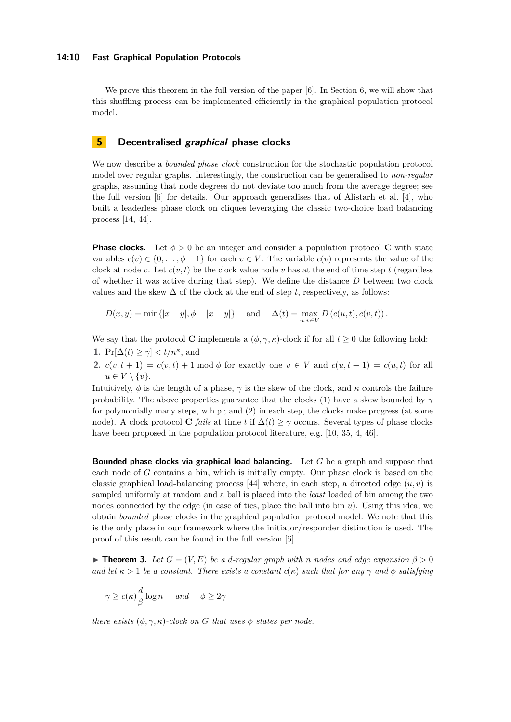### **14:10 Fast Graphical Population Protocols**

We prove this theorem in the full version of the paper [\[6\]](#page-14-0). In Section [6,](#page-10-0) we will show that this shuffling process can be implemented efficiently in the graphical population protocol model.

# <span id="page-9-1"></span>**5 Decentralised graphical phase clocks**

We now describe a *bounded phase clock* construction for the stochastic population protocol model over regular graphs. Interestingly, the construction can be generalised to *non-regular* graphs, assuming that node degrees do not deviate too much from the average degree; see the full version [\[6\]](#page-14-0) for details. Our approach generalises that of Alistarh et al. [\[4\]](#page-14-4), who built a leaderless phase clock on cliques leveraging the classic two-choice load balancing process [\[14,](#page-15-17) [44\]](#page-16-17).

**Phase clocks.** Let  $\phi > 0$  be an integer and consider a population protocol **C** with state variables  $c(v) \in \{0, \ldots, \phi-1\}$  for each  $v \in V$ . The variable  $c(v)$  represents the value of the clock at node *v*. Let  $c(v, t)$  be the clock value node *v* has at the end of time step *t* (regardless of whether it was active during that step). We define the distance *D* between two clock values and the skew  $\Delta$  of the clock at the end of step *t*, respectively, as follows:

$$
D(x, y) = \min\{|x - y|, \phi - |x - y|\} \quad \text{and} \quad \Delta(t) = \max_{u, v \in V} D(c(u, t), c(v, t)).
$$

We say that the protocol **C** implements a  $(\phi, \gamma, \kappa)$ -clock if for all  $t \geq 0$  the following hold:

- **1.**  $Pr[\Delta(t) \geq \gamma] < t/n^{\kappa}$ , and
- **2.**  $c(v, t+1) = c(v, t) + 1 \text{ mod } \phi$  for exactly one  $v \in V$  and  $c(u, t+1) = c(u, t)$  for all  $u \in V \setminus \{v\}.$

Intuitively,  $\phi$  is the length of a phase,  $\gamma$  is the skew of the clock, and  $\kappa$  controls the failure probability. The above properties guarantee that the clocks (1) have a skew bounded by *γ* for polynomially many steps, w.h.p.; and (2) in each step, the clocks make progress (at some node). A clock protocol **C** *fails* at time *t* if  $\Delta(t) \geq \gamma$  occurs. Several types of phase clocks have been proposed in the population protocol literature, e.g. [\[10,](#page-14-2) [35,](#page-16-1) [4,](#page-14-4) [46\]](#page-16-18).

**Bounded phase clocks via graphical load balancing.** Let *G* be a graph and suppose that each node of *G* contains a bin, which is initially empty. Our phase clock is based on the classic graphical load-balancing process [\[44\]](#page-16-17) where, in each step, a directed edge  $(u, v)$  is sampled uniformly at random and a ball is placed into the *least* loaded of bin among the two nodes connected by the edge (in case of ties, place the ball into bin *u*). Using this idea, we obtain *bounded* phase clocks in the graphical population protocol model. We note that this is the only place in our framework where the initiator/responder distinction is used. The proof of this result can be found in the full version [\[6\]](#page-14-0).

<span id="page-9-0"></span>▶ **Theorem 3.** *Let*  $G = (V, E)$  *be a d-regular graph with n* nodes and edge expansion  $\beta > 0$ *and let*  $\kappa > 1$  *be a constant. There exists a constant*  $c(\kappa)$  *such that for any*  $\gamma$  *and*  $\phi$  *satisfying* 

$$
\gamma \ge c(\kappa) \frac{d}{\beta} \log n \quad \text{and} \quad \phi \ge 2\gamma
$$

*there exists*  $(\phi, \gamma, \kappa)$ *-clock on G that uses*  $\phi$  *states per node.*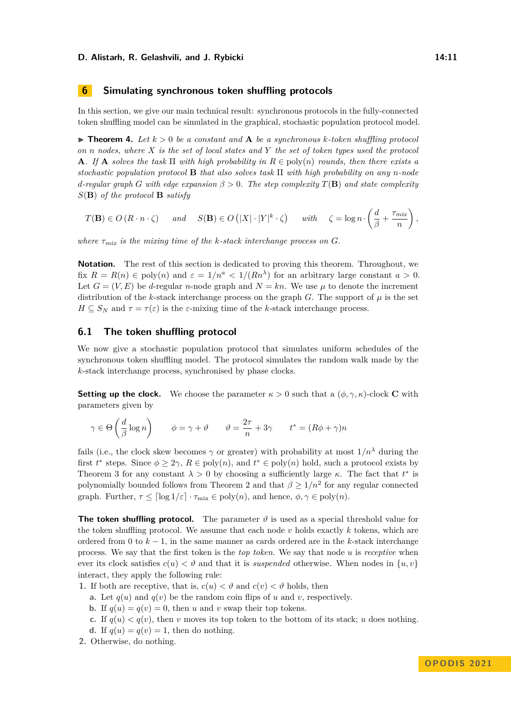#### **D. Alistarh, R. Gelashvili, and J. Rybicki 14:11** 14:11

# <span id="page-10-0"></span>**6 Simulating synchronous token shuffling protocols**

In this section, we give our main technical result: synchronous protocols in the fully-connected token shuffling model can be simulated in the graphical, stochastic population protocol model.

<span id="page-10-1"></span> $\blacktriangleright$  **Theorem 4.** Let  $k > 0$  be a constant and  $\blacktriangle$  be a synchronous  $k$ -token shuffling protocol *on n nodes, where X is the set of local states and Y the set of token types used the protocol* **A***.* If **A** *solves the task*  $\Pi$  *with high probability in*  $R \in \text{poly}(n)$  *rounds, then there exists a stochastic population protocol* **B** *that also solves task* Π *with high probability on any n-node d*-regular graph *G* with edge expansion  $\beta > 0$ . The step complexity  $T(\mathbf{B})$  and state complexity *S*(**B**) *of the protocol* **B** *satisfy*

$$
T(\mathbf{B}) \in O(R \cdot n \cdot \zeta) \quad \text{and} \quad S(\mathbf{B}) \in O\left(|X| \cdot |Y|^k \cdot \zeta\right) \quad \text{with} \quad \zeta = \log n \cdot \left(\frac{d}{\beta} + \frac{\tau_{mix}}{n}\right),
$$

*where*  $\tau_{mix}$  *is the mixing time of the k-stack interchange process on G.* 

**Notation.** The rest of this section is dedicated to proving this theorem. Throughout, we fix  $R = R(n) \in \text{poly}(n)$  and  $\varepsilon = 1/n^a < 1/(Rn^{\lambda})$  for an arbitrary large constant  $a > 0$ . Let  $G = (V, E)$  be *d*-regular *n*-node graph and  $N = kn$ . We use  $\mu$  to denote the increment distribution of the *k*-stack interchange process on the graph *G*. The support of  $\mu$  is the set  $H \subseteq S_N$  and  $\tau = \tau(\varepsilon)$  is the *ε*-mixing time of the *k*-stack interchange process.

### **6.1 The token shuffling protocol**

We now give a stochastic population protocol that simulates uniform schedules of the synchronous token shuffling model. The protocol simulates the random walk made by the *k*-stack interchange process, synchronised by phase clocks.

**Setting up the clock.** We choose the parameter  $\kappa > 0$  such that a  $(\phi, \gamma, \kappa)$ -clock **C** with parameters given by

$$
\gamma \in \Theta\left(\frac{d}{\beta}\log n\right) \qquad \phi = \gamma + \vartheta \qquad \vartheta = \frac{2\tau}{n} + 3\gamma \qquad t^* = (R\phi + \gamma)n
$$

fails (i.e., the clock skew becomes  $\gamma$  or greater) with probability at most  $1/n^{\lambda}$  during the first  $t^*$  steps. Since  $\phi \geq 2\gamma$ ,  $R \in \text{poly}(n)$ , and  $t^* \in \text{poly}(n)$  hold, such a protocol exists by [Theorem 3](#page-9-0) for any constant  $\lambda > 0$  by choosing a sufficiently large  $\kappa$ . The fact that  $t^*$  is polynomially bounded follows from [Theorem 2](#page-8-1) and that  $\beta \geq 1/n^2$  for any regular connected graph. Further,  $\tau \leq \lceil \log 1/\varepsilon \rceil \cdot \tau_{\text{mix}} \in \text{poly}(n)$ , and hence,  $\phi, \gamma \in \text{poly}(n)$ .

**The token shuffling protocol.** The parameter  $\vartheta$  is used as a special threshold value for the token shuffling protocol. We assume that each node *v* holds exactly *k* tokens, which are ordered from 0 to *k* − 1, in the same manner as cards ordered are in the *k*-stack interchange process. We say that the first token is the *top token*. We say that node *u* is *receptive* when ever its clock satisfies  $c(u) < \vartheta$  and that it is *suspended* otherwise. When nodes in  $\{u, v\}$ interact, they apply the following rule:

- **1.** If both are receptive, that is,  $c(u) < \vartheta$  and  $c(v) < \vartheta$  holds, then
	- **a.** Let  $q(u)$  and  $q(v)$  be the random coin flips of *u* and *v*, respectively.
	- **b.** If  $q(u) = q(v) = 0$ , then *u* and *v* swap their top tokens.
	- **c.** If  $q(u) < q(v)$ , then *v* moves its top token to the bottom of its stack; *u* does nothing.
	- **d.** If  $q(u) = q(v) = 1$ , then do nothing.
- **2.** Otherwise, do nothing.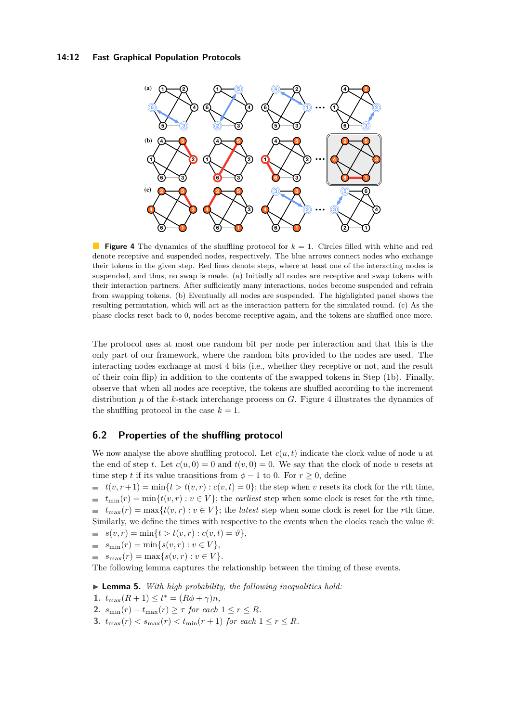### **14:12 Fast Graphical Population Protocols**

<span id="page-11-0"></span>

**Figure 4** The dynamics of the shuffling protocol for  $k = 1$ . Circles filled with white and red denote receptive and suspended nodes, respectively. The blue arrows connect nodes who exchange their tokens in the given step. Red lines denote steps, where at least one of the interacting nodes is suspended, and thus, no swap is made. (a) Initially all nodes are receptive and swap tokens with their interaction partners. After sufficiently many interactions, nodes become suspended and refrain from swapping tokens. (b) Eventually all nodes are suspended. The highlighted panel shows the resulting permutation, which will act as the interaction pattern for the simulated round. (c) As the phase clocks reset back to 0, nodes become receptive again, and the tokens are shuffled once more.

The protocol uses at most one random bit per node per interaction and that this is the only part of our framework, where the random bits provided to the nodes are used. The interacting nodes exchange at most 4 bits (i.e., whether they receptive or not, and the result of their coin flip) in addition to the contents of the swapped tokens in Step (1b). Finally, observe that when all nodes are receptive, the tokens are shuffled according to the increment distribution  $\mu$  of the *k*-stack interchange process on *G*. [Figure 4](#page-11-0) illustrates the dynamics of the shuffling protocol in the case  $k = 1$ .

# **6.2 Properties of the shuffling protocol**

We now analyse the above shuffling protocol. Let  $c(u, t)$  indicate the clock value of node  $u$  at the end of step *t*. Let  $c(u, 0) = 0$  and  $t(v, 0) = 0$ . We say that the clock of node *u* resets at time step *t* if its value transitions from  $\phi - 1$  to 0. For  $r \ge 0$ , define

 $t(v, r+1) = \min\{t > t(v, r) : c(v, t) = 0\}$ ; the step when *v* resets its clock for the *r*th time,  $t_{\min}(r) = \min\{t(v,r) : v \in V\}$ ; the *earliest* step when some clock is reset for the *r*th time,  $t_{\max}(r) = \max\{t(v,r) : v \in V\}$ ; the *latest* step when some clock is reset for the *r*th time. Similarly, we define the times with respective to the events when the clocks reach the value  $\vartheta$ :

- $s(v,r) = \min\{t > t(v,r) : c(v,t) = \vartheta\},\$
- $s_{\min}(r) = \min\{s(v,r) : v \in V\},\$
- $= s_{\max}(r) = \max\{s(v, r) : v \in V\}.$

The following lemma captures the relationship between the timing of these events.

▶ **Lemma 5.** *With high probability, the following inequalities hold:*

- 1.  $t_{\max}(R+1) \leq t^* = (R\phi + \gamma)n$ ,
- 2.  $s_{\min}(r) t_{\max}(r) \geq \tau$  *for each*  $1 \leq r \leq R$ *.*
- **3.**  $t_{\max}(r) < s_{\max}(r) < t_{\min}(r+1)$  *for each*  $1 \leq r \leq R$ *.*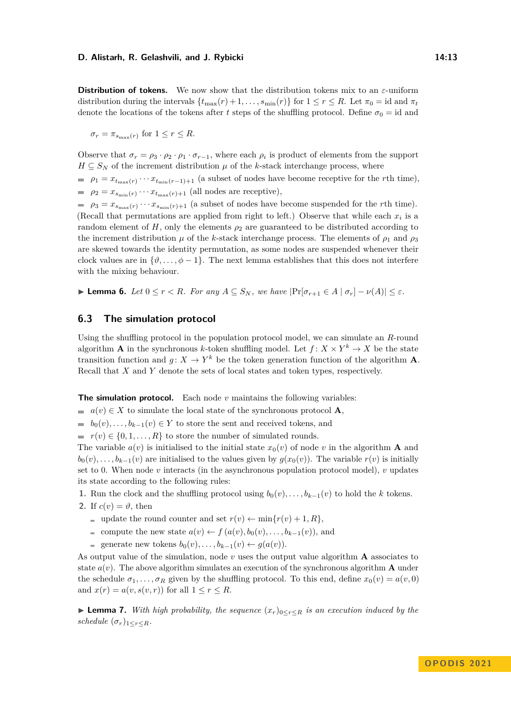**Distribution of tokens.** We now show that the distribution tokens mix to an *ε*-uniform distribution during the intervals  $\{t_{\max}(r) + 1, \ldots, s_{\min}(r)\}\$  for  $1 \leq r \leq R$ . Let  $\pi_0 = id$  and  $\pi_t$ denote the locations of the tokens after *t* steps of the shuffling protocol. Define  $\sigma_0 = id$  and

 $\sigma_r = \pi_{s_{\text{max}}(r)}$  for  $1 \leq r \leq R$ .

Observe that  $\sigma_r = \rho_3 \cdot \rho_2 \cdot \rho_1 \cdot \sigma_{r-1}$ , where each  $\rho_i$  is product of elements from the support  $H \subseteq S_N$  of the increment distribution  $\mu$  of the *k*-stack interchange process, where

 $\rho_1 = x_{t_{\text{max}}(r)} \cdots x_{t_{\text{min}}(r-1)+1}$  (a subset of nodes have become receptive for the *r*th time),  $\rho_2 = x_{s_{\min}(r)} \cdots x_{t_{\max}(r)+1}$  (all nodes are receptive),

 $\rho_3 = x_{s_{\text{max}}(r)} \cdots x_{s_{\text{min}}(r)+1}$  (a subset of nodes have become suspended for the *r*th time). (Recall that permutations are applied from right to left.) Observe that while each  $x_i$  is a random element of  $H$ , only the elements  $\rho_2$  are guaranteed to be distributed according to the increment distribution  $\mu$  of the *k*-stack interchange process. The elements of  $\rho_1$  and  $\rho_3$ are skewed towards the identity permutation, as some nodes are suspended whenever their clock values are in  $\{\vartheta, \ldots, \varphi - 1\}$ . The next lemma establishes that this does not interfere with the mixing behaviour.

▶ **Lemma 6.** *Let*  $0 \le r < R$ *. For any*  $A \subseteq S_N$ *, we have*  $|\Pr[\sigma_{r+1} \in A \mid \sigma_r] - \nu(A)| \le \varepsilon$ *.* 

# **6.3 The simulation protocol**

Using the shuffling protocol in the population protocol model, we can simulate an *R*-round algorithm **A** in the synchronous *k*-token shuffling model. Let  $f: X \times Y^k \to X$  be the state transition function and  $g: X \to Y^k$  be the token generation function of the algorithm **A**. Recall that *X* and *Y* denote the sets of local states and token types, respectively.

**The simulation protocol.** Each node *v* maintains the following variables:

 $a(v) \in X$  to simulate the local state of the synchronous protocol **A**,

 $b_0(v), \ldots, b_{k-1}(v) \in Y$  to store the sent and received tokens, and

 $r(v) \in \{0, 1, \ldots, R\}$  to store the number of simulated rounds.

The variable  $a(v)$  is initialised to the initial state  $x_0(v)$  of node *v* in the algorithm **A** and  $b_0(v), \ldots, b_{k-1}(v)$  are initialised to the values given by  $g(x_0(v))$ . The variable  $r(v)$  is initially set to 0. When node *v* interacts (in the asynchronous population protocol model), *v* updates its state according to the following rules:

**1.** Run the clock and the shuffling protocol using  $b_0(v), \ldots, b_{k-1}(v)$  to hold the *k* tokens.

- **2.** If  $c(v) = \vartheta$ , then
	- quarktriangleright update the round counter and set  $r(v) \leftarrow \min\{r(v) + 1, R\},\$
	- compute the new state  $a(v)$  ←  $f(a(v), b_0(v), \ldots, b_{k-1}(v))$ , and
	- generate new tokens  $b_0(v), \ldots, b_{k-1}(v) \leftarrow g(a(v)).$

As output value of the simulation, node *v* uses the output value algorithm **A** associates to state  $a(v)$ . The above algorithm simulates an execution of the synchronous algorithm **A** under the schedule  $\sigma_1, \ldots, \sigma_R$  given by the shuffling protocol. To this end, define  $x_0(v) = a(v, 0)$ and  $x(r) = a(v, s(v, r))$  for all  $1 \le r \le R$ .

▶ **Lemma 7.** *With high probability, the sequence*  $(x_r)_{0 \leq r \leq R}$  *is an execution induced by the schedule*  $(\sigma_r)_{1 \leq r \leq R}$ *.*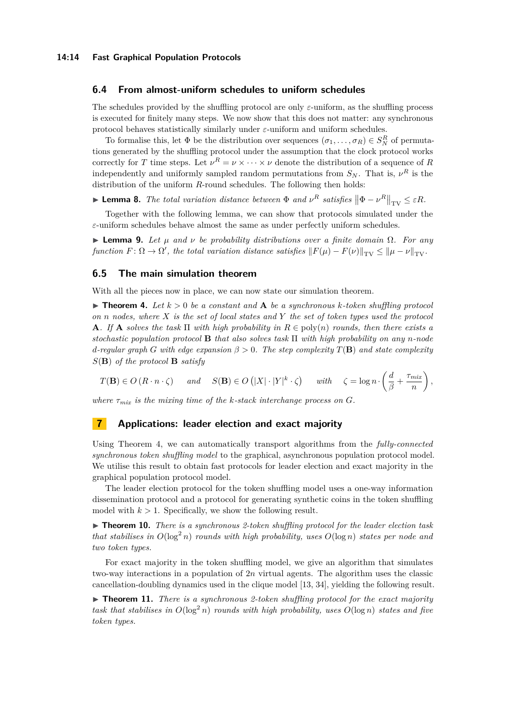### **6.4 From almost-uniform schedules to uniform schedules**

The schedules provided by the shuffling protocol are only *ε*-uniform, as the shuffling process is executed for finitely many steps. We now show that this does not matter: any synchronous protocol behaves statistically similarly under *ε*-uniform and uniform schedules.

To formalise this, let  $\Phi$  be the distribution over sequences  $(\sigma_1, \ldots, \sigma_R) \in S_N^R$  of permutations generated by the shuffling protocol under the assumption that the clock protocol works correctly for *T* time steps. Let  $\nu^R = \nu \times \cdots \times \nu$  denote the distribution of a sequence of *R* independently and uniformly sampled random permutations from  $S_N$ . That is,  $\nu^R$  is the distribution of the uniform *R*-round schedules. The following then holds:

**Example 1 Example 1** *Particular and*  $\mathbf{r}$  *Particular*  $\mathbf{r}$  **<b>***Particular*  $\mathbf{r} \times \mathbf{r}$  *Particular*  $\mathbf{r} \times \mathbf{r}$  **<b>***Particular 1 <i>Particular 1 <b>P <i>Particular 1 <b>P <i>Particular 1 <b>P <i>P* 

Together with the following lemma, we can show that protocols simulated under the *ε*-uniform schedules behave almost the same as under perfectly uniform schedules.

▶ **Lemma 9.** *Let µ and ν be probability distributions over a finite domain* Ω*. For any*  $function F: \Omega \to \Omega'$ , the total variation distance satisfies  $||F(\mu) - F(\nu)||_{TV} \le ||\mu - \nu||_{TV}$ .

### **6.5 The main simulation theorem**

With all the pieces now in place, we can now state our simulation theorem.

 $\triangleright$  **Theorem 4.** Let  $k > 0$  be a constant and **A** be a synchronous k-token shuffling protocol *on n nodes, where X is the set of local states and Y the set of token types used the protocol* **A***.* If **A** *solves the task*  $\Pi$  *with high probability in*  $R \in \text{poly}(n)$  *rounds, then there exists a stochastic population protocol* **B** *that also solves task* Π *with high probability on any n-node d*-regular graph *G* with edge expansion  $\beta > 0$ . The step complexity  $T(\mathbf{B})$  and state complexity *S*(**B**) *of the protocol* **B** *satisfy*

$$
T(\mathbf{B}) \in O(R \cdot n \cdot \zeta) \quad \text{and} \quad S(\mathbf{B}) \in O\left(|X| \cdot |Y|^k \cdot \zeta\right) \quad \text{with} \quad \zeta = \log n \cdot \left(\frac{d}{\beta} + \frac{\tau_{\text{mix}}}{n}\right),
$$

*where*  $\tau_{mix}$  *is the mixing time of the k-stack interchange process on G.* 

### **7 Applications: leader election and exact majority**

Using [Theorem 4,](#page-10-1) we can automatically transport algorithms from the *fully-connected synchronous token shuffling model* to the graphical, asynchronous population protocol model. We utilise this result to obtain fast protocols for leader election and exact majority in the graphical population protocol model.

The leader election protocol for the token shuffling model uses a one-way information dissemination protocol and a protocol for generating synthetic coins in the token shuffling model with  $k > 1$ . Specifically, we show the following result.

▶ **Theorem 10.** *There is a synchronous 2-token shuffling protocol for the leader election task that stabilises in*  $O(\log^2 n)$  *rounds with high probability, uses*  $O(\log n)$  *states per node and two token types.*

For exact majority in the token shuffling model, we give an algorithm that simulates two-way interactions in a population of 2*n* virtual agents. The algorithm uses the classic cancellation-doubling dynamics used in the clique model [\[13,](#page-15-3) [34\]](#page-16-3), yielding the following result.

▶ **Theorem 11.** *There is a synchronous 2-token shuffling protocol for the exact majority task that stabilises in*  $O(\log^2 n)$  *rounds with high probability, uses*  $O(\log n)$  *states and five token types.*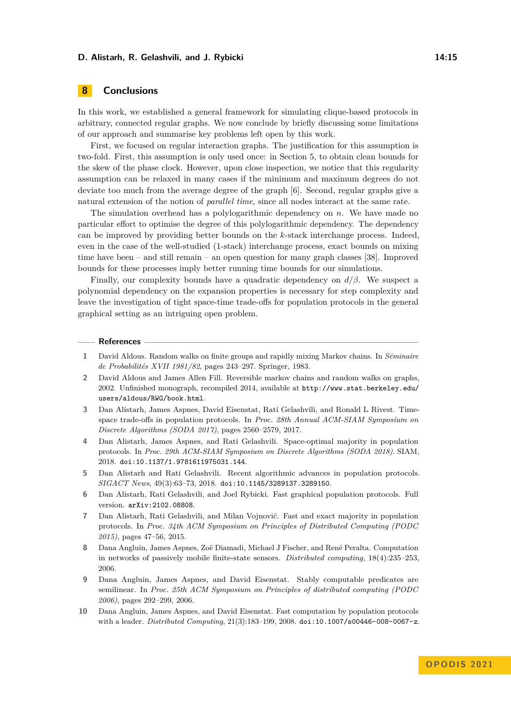### **D. Alistarh, R. Gelashvili, and J. Rybicki 14:15** 14:15

# <span id="page-14-6"></span>**8 Conclusions**

In this work, we established a general framework for simulating clique-based protocols in arbitrary, connected regular graphs. We now conclude by briefly discussing some limitations of our approach and summarise key problems left open by this work.

First, we focused on regular interaction graphs. The justification for this assumption is two-fold. First, this assumption is only used once: in [Section 5,](#page-9-1) to obtain clean bounds for the skew of the phase clock. However, upon close inspection, we notice that this regularity assumption can be relaxed in many cases if the minimum and maximum degrees do not deviate too much from the average degree of the graph [\[6\]](#page-14-0). Second, regular graphs give a natural extension of the notion of *parallel time*, since all nodes interact at the same rate.

The simulation overhead has a polylogarithmic dependency on *n*. We have made no particular effort to optimise the degree of this polylogarithmic dependency. The dependency can be improved by providing better bounds on the *k*-stack interchange process. Indeed, even in the case of the well-studied (1-stack) interchange process, exact bounds on mixing time have been – and still remain – an open question for many graph classes [\[38\]](#page-16-7). Improved bounds for these processes imply better running time bounds for our simulations.

Finally, our complexity bounds have a quadratic dependency on *d/β*. We suspect a polynomial dependency on the expansion properties is necessary for step complexity and leave the investigation of tight space-time trade-offs for population protocols in the general graphical setting as an intriguing open problem.

#### **References**

- <span id="page-14-10"></span>**1** David Aldous. Random walks on finite groups and rapidly mixing Markov chains. In *Séminaire de Probabilités XVII 1981/82*, pages 243–297. Springer, 1983.
- <span id="page-14-9"></span>**2** David Aldous and James Allen Fill. Reversible markov chains and random walks on graphs, 2002. Unfinished monograph, recompiled 2014, available at [http://www.stat.berkeley.edu/](http://www.stat.berkeley.edu/users/aldous/RWG/book.html) [users/aldous/RWG/book.html](http://www.stat.berkeley.edu/users/aldous/RWG/book.html).
- <span id="page-14-8"></span>**3** Dan Alistarh, James Aspnes, David Eisenstat, Rati Gelashvili, and Ronald L Rivest. Timespace trade-offs in population protocols. In *Proc. 28th Annual ACM-SIAM Symposium on Discrete Algorithms (SODA 2017)*, pages 2560–2579, 2017.
- <span id="page-14-4"></span>**4** Dan Alistarh, James Aspnes, and Rati Gelashvili. Space-optimal majority in population protocols. In *Proc. 29th ACM-SIAM Symposium on Discrete Algorithms (SODA 2018)*. SIAM, 2018. [doi:10.1137/1.9781611975031.144](https://doi.org/10.1137/1.9781611975031.144).
- <span id="page-14-5"></span>**5** Dan Alistarh and Rati Gelashvili. Recent algorithmic advances in population protocols. *SIGACT News*, 49(3):63–73, 2018. [doi:10.1145/3289137.3289150](https://doi.org/10.1145/3289137.3289150).
- <span id="page-14-0"></span>**6** Dan Alistarh, Rati Gelashvili, and Joel Rybicki. Fast graphical population protocols. Full version. [arXiv:2102.08808](http://arxiv.org/abs/2102.08808).
- <span id="page-14-3"></span>**7** Dan Alistarh, Rati Gelashvili, and Milan Vojnović. Fast and exact majority in population protocols. In *Proc. 34th ACM Symposium on Principles of Distributed Computing (PODC 2015)*, pages 47–56, 2015.
- <span id="page-14-1"></span>**8** Dana Angluin, James Aspnes, Zoë Diamadi, Michael J Fischer, and René Peralta. Computation in networks of passively mobile finite-state sensors. *Distributed computing*, 18(4):235–253, 2006.
- <span id="page-14-7"></span>**9** Dana Angluin, James Aspnes, and David Eisenstat. Stably computable predicates are semilinear. In *Proc. 25th ACM Symposium on Principles of distributed computing (PODC 2006)*, pages 292–299, 2006.
- <span id="page-14-2"></span>**10** Dana Angluin, James Aspnes, and David Eisenstat. Fast computation by population protocols with a leader. *Distributed Computing*, 21(3):183–199, 2008. [doi:10.1007/s00446-008-0067-z](https://doi.org/10.1007/s00446-008-0067-z).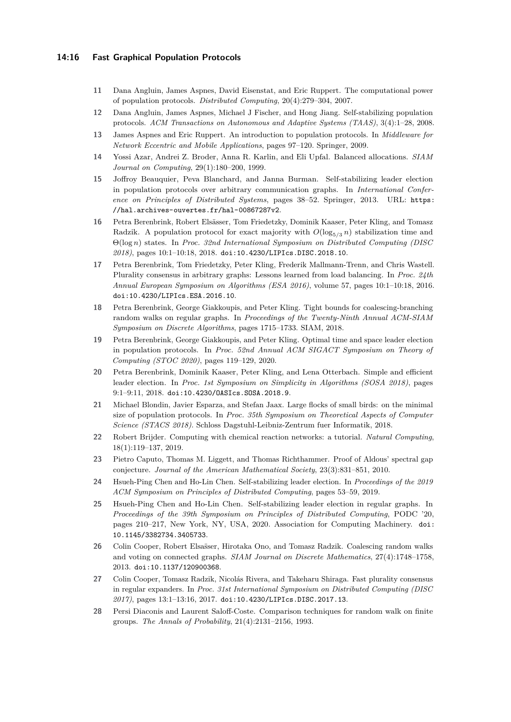### **14:16 Fast Graphical Population Protocols**

- <span id="page-15-0"></span>**11** Dana Angluin, James Aspnes, David Eisenstat, and Eric Ruppert. The computational power of population protocols. *Distributed Computing*, 20(4):279–304, 2007.
- <span id="page-15-9"></span>**12** Dana Angluin, James Aspnes, Michael J Fischer, and Hong Jiang. Self-stabilizing population protocols. *ACM Transactions on Autonomous and Adaptive Systems (TAAS)*, 3(4):1–28, 2008.
- <span id="page-15-3"></span>**13** James Aspnes and Eric Ruppert. An introduction to population protocols. In *Middleware for Network Eccentric and Mobile Applications*, pages 97–120. Springer, 2009.
- <span id="page-15-17"></span>**14** Yossi Azar, Andrei Z. Broder, Anna R. Karlin, and Eli Upfal. Balanced allocations. *SIAM Journal on Computing*, 29(1):180–200, 1999.
- <span id="page-15-6"></span>**15** Joffroy Beauquier, Peva Blanchard, and Janna Burman. Self-stabilizing leader election in population protocols over arbitrary communication graphs. In *International Conference on Principles of Distributed Systems*, pages 38–52. Springer, 2013. URL: [https:](https://hal.archives-ouvertes.fr/hal-00867287v2) [//hal.archives-ouvertes.fr/hal-00867287v2](https://hal.archives-ouvertes.fr/hal-00867287v2).
- <span id="page-15-1"></span>**16** Petra Berenbrink, Robert Elsässer, Tom Friedetzky, Dominik Kaaser, Peter Kling, and Tomasz Radzik. A population protocol for exact majority with  $O(\log_{5/3} n)$  stabilization time and Θ(log *n*) states. In *Proc. 32nd International Symposium on Distributed Computing (DISC 2018)*, pages 10:1–10:18, 2018. [doi:10.4230/LIPIcs.DISC.2018.10](https://doi.org/10.4230/LIPIcs.DISC.2018.10).
- <span id="page-15-5"></span>**17** Petra Berenbrink, Tom Friedetzky, Peter Kling, Frederik Mallmann-Trenn, and Chris Wastell. Plurality consensus in arbitrary graphs: Lessons learned from load balancing. In *Proc. 24th Annual European Symposium on Algorithms (ESA 2016)*, volume 57, pages 10:1–10:18, 2016. [doi:10.4230/LIPIcs.ESA.2016.10](https://doi.org/10.4230/LIPIcs.ESA.2016.10).
- <span id="page-15-15"></span>**18** Petra Berenbrink, George Giakkoupis, and Peter Kling. Tight bounds for coalescing-branching random walks on regular graphs. In *Proceedings of the Twenty-Ninth Annual ACM-SIAM Symposium on Discrete Algorithms*, pages 1715–1733. SIAM, 2018.
- <span id="page-15-2"></span>**19** Petra Berenbrink, George Giakkoupis, and Peter Kling. Optimal time and space leader election in population protocols. In *Proc. 52nd Annual ACM SIGACT Symposium on Theory of Computing (STOC 2020)*, pages 119–129, 2020.
- <span id="page-15-13"></span>**20** Petra Berenbrink, Dominik Kaaser, Peter Kling, and Lena Otterbach. Simple and efficient leader election. In *Proc. 1st Symposium on Simplicity in Algorithms (SOSA 2018)*, pages 9:1–9:11, 2018. [doi:10.4230/OASIcs.SOSA.2018.9](https://doi.org/10.4230/OASIcs.SOSA.2018.9).
- <span id="page-15-10"></span>**21** Michael Blondin, Javier Esparza, and Stefan Jaax. Large flocks of small birds: on the minimal size of population protocols. In *Proc. 35th Symposium on Theoretical Aspects of Computer Science (STACS 2018)*. Schloss Dagstuhl-Leibniz-Zentrum fuer Informatik, 2018.
- <span id="page-15-16"></span>**22** Robert Brijder. Computing with chemical reaction networks: a tutorial. *Natural Computing*, 18(1):119–137, 2019.
- <span id="page-15-8"></span>**23** Pietro Caputo, Thomas M. Liggett, and Thomas Richthammer. Proof of Aldous' spectral gap conjecture. *Journal of the American Mathematical Society*, 23(3):831–851, 2010.
- <span id="page-15-11"></span>**24** Hsueh-Ping Chen and Ho-Lin Chen. Self-stabilizing leader election. In *Proceedings of the 2019 ACM Symposium on Principles of Distributed Computing*, pages 53–59, 2019.
- <span id="page-15-12"></span>**25** Hsueh-Ping Chen and Ho-Lin Chen. Self-stabilizing leader election in regular graphs. In *Proceedings of the 39th Symposium on Principles of Distributed Computing*, PODC '20, pages 210–217, New York, NY, USA, 2020. Association for Computing Machinery. [doi:](https://doi.org/10.1145/3382734.3405733) [10.1145/3382734.3405733](https://doi.org/10.1145/3382734.3405733).
- <span id="page-15-14"></span>26 Colin Cooper, Robert Elsaïser, Hirotaka Ono, and Tomasz Radzik. Coalescing random walks and voting on connected graphs. *SIAM Journal on Discrete Mathematics*, 27(4):1748–1758, 2013. [doi:10.1137/120900368](https://doi.org/10.1137/120900368).
- <span id="page-15-4"></span>**27** Colin Cooper, Tomasz Radzik, Nicolás Rivera, and Takeharu Shiraga. Fast plurality consensus in regular expanders. In *Proc. 31st International Symposium on Distributed Computing (DISC 2017)*, pages 13:1–13:16, 2017. [doi:10.4230/LIPIcs.DISC.2017.13](https://doi.org/10.4230/LIPIcs.DISC.2017.13).
- <span id="page-15-7"></span>**28** Persi Diaconis and Laurent Saloff-Coste. Comparison techniques for random walk on finite groups. *The Annals of Probability*, 21(4):2131–2156, 1993.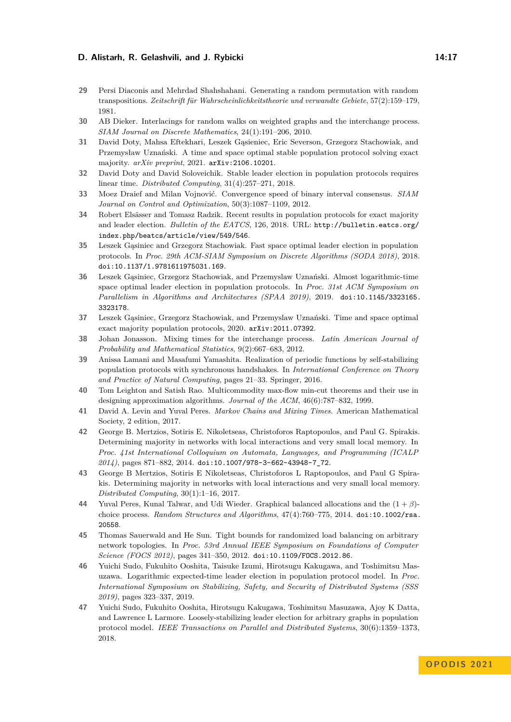### **D. Alistarh, R. Gelashvili, and J. Rybicki 14:17** 14:17

- <span id="page-16-13"></span>**29** Persi Diaconis and Mehrdad Shahshahani. Generating a random permutation with random transpositions. *Zeitschrift für Wahrscheinlichkeitstheorie und verwandte Gebiete*, 57(2):159–179, 1981.
- <span id="page-16-15"></span>**30** AB Dieker. Interlacings for random walks on weighted graphs and the interchange process. *SIAM Journal on Discrete Mathematics*, 24(1):191–206, 2010.
- <span id="page-16-2"></span>**31** David Doty, Mahsa Eftekhari, Leszek Gąsieniec, Eric Severson, Grzegorz Stachowiak, and Przemysław Uznański. A time and space optimal stable population protocol solving exact majority. *arXiv preprint*, 2021. [arXiv:2106.10201](http://arxiv.org/abs/2106.10201).
- <span id="page-16-0"></span>**32** David Doty and David Soloveichik. Stable leader election in population protocols requires linear time. *Distributed Computing*, 31(4):257–271, 2018.
- <span id="page-16-4"></span>**33** Moez Draief and Milan Vojnović. Convergence speed of binary interval consensus. *SIAM Journal on Control and Optimization*, 50(3):1087–1109, 2012.
- <span id="page-16-3"></span>**34** Robert Elsässer and Tomasz Radzik. Recent results in population protocols for exact majority and leader election. *Bulletin of the EATCS*, 126, 2018. URL: [http://bulletin.eatcs.org/](http://bulletin.eatcs.org/index.php/beatcs/article/view/549/ 546) [index.php/beatcs/article/view/549/546](http://bulletin.eatcs.org/index.php/beatcs/article/view/549/ 546).
- <span id="page-16-1"></span>**35** Leszek Gąsiniec and Grzegorz Stachowiak. Fast space optimal leader election in population protocols. In *Proc. 29th ACM-SIAM Symposium on Discrete Algorithms (SODA 2018)*, 2018. [doi:10.1137/1.9781611975031.169](https://doi.org/10.1137/1.9781611975031.169).
- <span id="page-16-8"></span>**36** Leszek Gąsiniec, Grzegorz Stachowiak, and Przemyslaw Uznański. Almost logarithmic-time space optimal leader election in population protocols. In *Proc. 31st ACM Symposium on Parallelism in Algorithms and Architectures (SPAA 2019)*, 2019. [doi:10.1145/3323165.](https://doi.org/10.1145/3323165.3323178) [3323178](https://doi.org/10.1145/3323165.3323178).
- <span id="page-16-11"></span>**37** Leszek Gąsiniec, Grzegorz Stachowiak, and Przemyslaw Uznański. Time and space optimal exact majority population protocols, 2020. [arXiv:2011.07392](http://arxiv.org/abs/2011.07392).
- <span id="page-16-7"></span>**38** Johan Jonasson. Mixing times for the interchange process. *Latin American Journal of Probability and Mathematical Statistics*, 9(2):667–683, 2012.
- <span id="page-16-10"></span>**39** Anissa Lamani and Masafumi Yamashita. Realization of periodic functions by self-stabilizing population protocols with synchronous handshakes. In *International Conference on Theory and Practice of Natural Computing*, pages 21–33. Springer, 2016.
- <span id="page-16-16"></span>**40** Tom Leighton and Satish Rao. Multicommodity max-flow min-cut theorems and their use in designing approximation algorithms. *Journal of the ACM*, 46(6):787–832, 1999.
- <span id="page-16-14"></span>**41** David A. Levin and Yuval Peres. *Markov Chains and Mixing Times*. American Mathematical Society, 2 edition, 2017.
- <span id="page-16-5"></span>**42** George B. Mertzios, Sotiris E. Nikoletseas, Christoforos Raptopoulos, and Paul G. Spirakis. Determining majority in networks with local interactions and very small local memory. In *Proc. 41st International Colloquium on Automata, Languages, and Programming (ICALP 2014)*, pages 871–882, 2014. [doi:10.1007/978-3-662-43948-7\\_72](https://doi.org/10.1007/978-3-662-43948-7_72).
- <span id="page-16-6"></span>**43** George B Mertzios, Sotiris E Nikoletseas, Christoforos L Raptopoulos, and Paul G Spirakis. Determining majority in networks with local interactions and very small local memory. *Distributed Computing*, 30(1):1–16, 2017.
- <span id="page-16-17"></span>**44** Yuval Peres, Kunal Talwar, and Udi Wieder. Graphical balanced allocations and the (1 + *β*) choice process. *Random Structures and Algorithms*, 47(4):760–775, 2014. [doi:10.1002/rsa.](https://doi.org/10.1002/rsa.20558) [20558](https://doi.org/10.1002/rsa.20558).
- <span id="page-16-12"></span>**45** Thomas Sauerwald and He Sun. Tight bounds for randomized load balancing on arbitrary network topologies. In *Proc. 53rd Annual IEEE Symposium on Foundations of Computer Science (FOCS 2012)*, pages 341–350, 2012. [doi:10.1109/FOCS.2012.86](https://doi.org/10.1109/FOCS.2012.86).
- <span id="page-16-18"></span>**46** Yuichi Sudo, Fukuhito Ooshita, Taisuke Izumi, Hirotsugu Kakugawa, and Toshimitsu Masuzawa. Logarithmic expected-time leader election in population protocol model. In *Proc. International Symposium on Stabilizing, Safety, and Security of Distributed Systems (SSS 2019)*, pages 323–337, 2019.
- <span id="page-16-9"></span>**47** Yuichi Sudo, Fukuhito Ooshita, Hirotsugu Kakugawa, Toshimitsu Masuzawa, Ajoy K Datta, and Lawrence L Larmore. Loosely-stabilizing leader election for arbitrary graphs in population protocol model. *IEEE Transactions on Parallel and Distributed Systems*, 30(6):1359–1373, 2018.